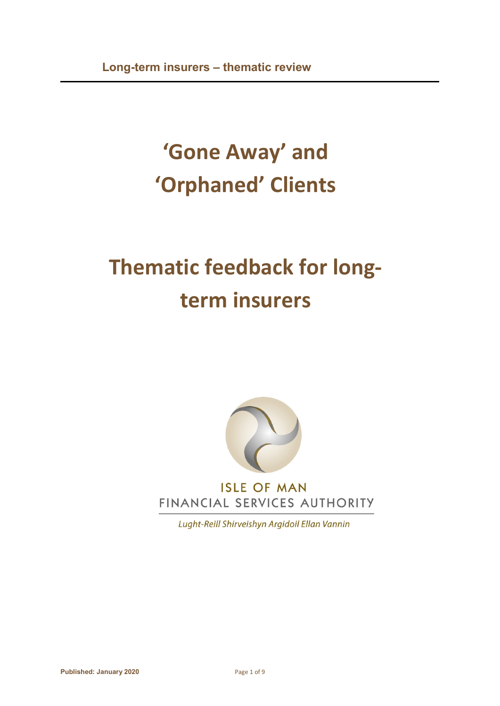# **'Gone Away' and 'Orphaned' Clients**

# **Thematic feedback for longterm insurers**



Lught-Reill Shirveishyn Argidoil Ellan Vannin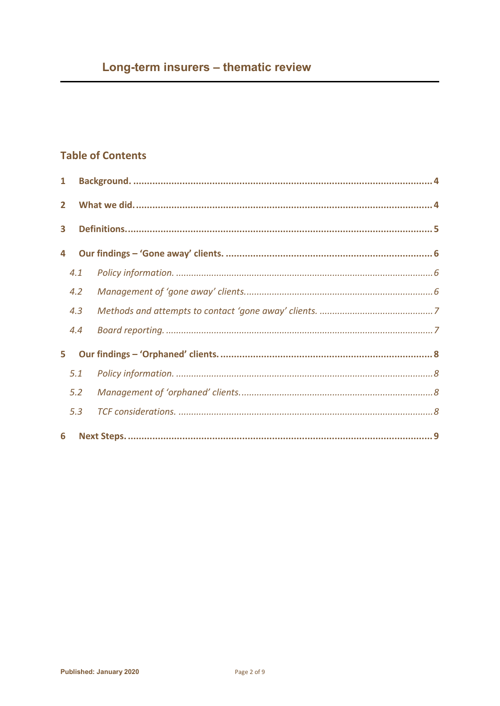# **Table of Contents**

| $\mathbf{1}$   |     |  |
|----------------|-----|--|
| $\overline{2}$ |     |  |
| 3              |     |  |
| 4              |     |  |
|                | 4.1 |  |
|                | 4.2 |  |
|                | 4.3 |  |
|                | 4.4 |  |
| 5.             |     |  |
|                | 5.1 |  |
|                | 5.2 |  |
|                | 5.3 |  |
| 6              |     |  |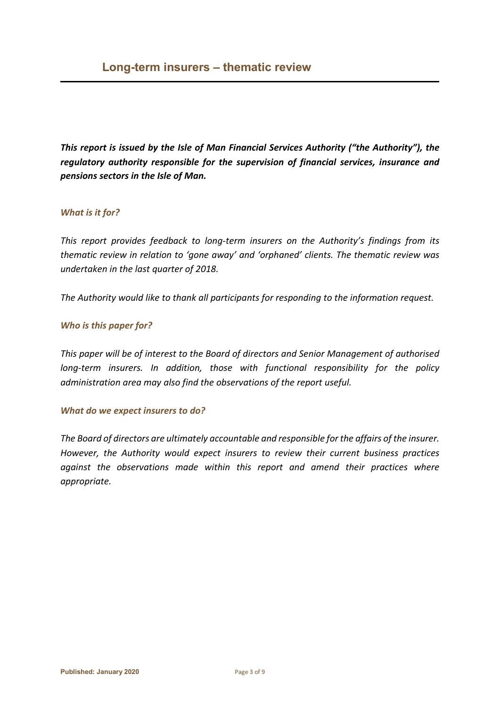*This report is issued by the Isle of Man Financial Services Authority ("the Authority"), the regulatory authority responsible for the supervision of financial services, insurance and pensions sectors in the Isle of Man.* 

#### *What is it for?*

*This report provides feedback to long-term insurers on the Authority's findings from its thematic review in relation to 'gone away' and 'orphaned' clients. The thematic review was undertaken in the last quarter of 2018.*

*The Authority would like to thank all participants for responding to the information request.*

#### *Who is this paper for?*

*This paper will be of interest to the Board of directors and Senior Management of authorised long-term insurers. In addition, those with functional responsibility for the policy administration area may also find the observations of the report useful.* 

#### *What do we expect insurers to do?*

*The Board of directors are ultimately accountable and responsible for the affairs of the insurer. However, the Authority would expect insurers to review their current business practices against the observations made within this report and amend their practices where appropriate.*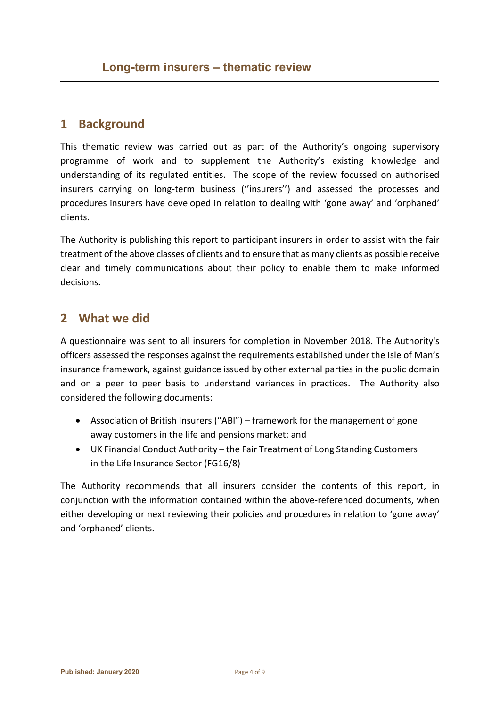# <span id="page-3-0"></span>**1 Background**

This thematic review was carried out as part of the Authority's ongoing supervisory programme of work and to supplement the Authority's existing knowledge and understanding of its regulated entities. The scope of the review focussed on authorised insurers carrying on long-term business (''insurers'') and assessed the processes and procedures insurers have developed in relation to dealing with 'gone away' and 'orphaned' clients.

The Authority is publishing this report to participant insurers in order to assist with the fair treatment of the above classes of clients and to ensure that as many clients as possible receive clear and timely communications about their policy to enable them to make informed decisions.

# <span id="page-3-1"></span>**2 What we did**

A questionnaire was sent to all insurers for completion in November 2018. The Authority's officers assessed the responses against the requirements established under the Isle of Man's insurance framework, against guidance issued by other external parties in the public domain and on a peer to peer basis to understand variances in practices. The Authority also considered the following documents:

- Association of British Insurers ("ABI") framework for the management of gone away customers in the life and pensions market; and
- UK Financial Conduct Authority the Fair Treatment of Long Standing Customers in the Life Insurance Sector (FG16/8)

The Authority recommends that all insurers consider the contents of this report, in conjunction with the information contained within the above-referenced documents, when either developing or next reviewing their policies and procedures in relation to 'gone away' and 'orphaned' clients.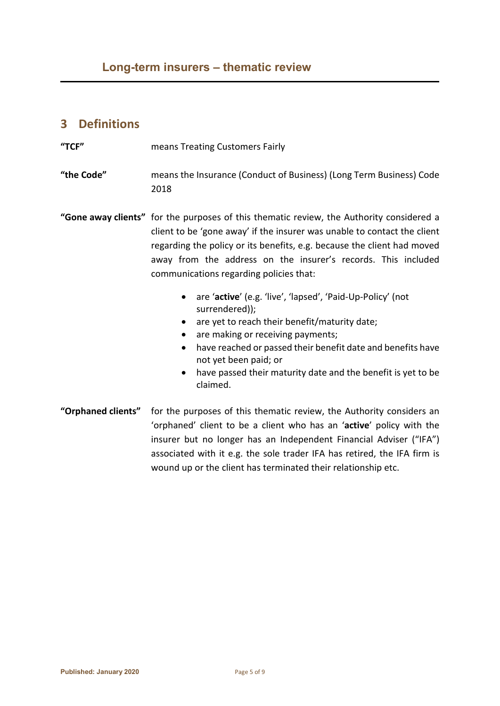# <span id="page-4-0"></span>**3 Definitions**

**"TCF"** means Treating Customers Fairly

**"the Code"** means the Insurance (Conduct of Business) (Long Term Business) Code 2018

**"Gone away clients"** for the purposes of this thematic review, the Authority considered a client to be 'gone away' if the insurer was unable to contact the client regarding the policy or its benefits, e.g. because the client had moved away from the address on the insurer's records. This included communications regarding policies that:

- are '**active**' (e.g. 'live', 'lapsed', 'Paid-Up-Policy' (not surrendered));
- are yet to reach their benefit/maturity date;
- are making or receiving payments;
- have reached or passed their benefit date and benefits have not yet been paid; or
- have passed their maturity date and the benefit is yet to be claimed.
- **"Orphaned clients"** for the purposes of this thematic review, the Authority considers an 'orphaned' client to be a client who has an '**active**' policy with the insurer but no longer has an Independent Financial Adviser ("IFA") associated with it e.g. the sole trader IFA has retired, the IFA firm is wound up or the client has terminated their relationship etc.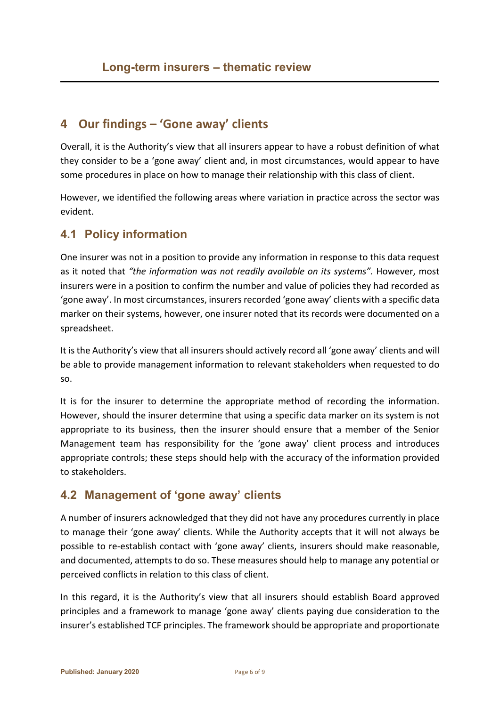# <span id="page-5-0"></span>**4 Our findings – 'Gone away' clients**

Overall, it is the Authority's view that all insurers appear to have a robust definition of what they consider to be a 'gone away' client and, in most circumstances, would appear to have some procedures in place on how to manage their relationship with this class of client.

However, we identified the following areas where variation in practice across the sector was evident.

### <span id="page-5-1"></span>**4.1 Policy information**

One insurer was not in a position to provide any information in response to this data request as it noted that *"the information was not readily available on its systems".* However, most insurers were in a position to confirm the number and value of policies they had recorded as 'gone away'. In most circumstances, insurers recorded 'gone away' clients with a specific data marker on their systems, however, one insurer noted that its records were documented on a spreadsheet.

It is the Authority's view that all insurers should actively record all 'gone away' clients and will be able to provide management information to relevant stakeholders when requested to do so.

It is for the insurer to determine the appropriate method of recording the information. However, should the insurer determine that using a specific data marker on its system is not appropriate to its business, then the insurer should ensure that a member of the Senior Management team has responsibility for the 'gone away' client process and introduces appropriate controls; these steps should help with the accuracy of the information provided to stakeholders.

### <span id="page-5-2"></span>**4.2 Management of 'gone away' clients**

A number of insurers acknowledged that they did not have any procedures currently in place to manage their 'gone away' clients. While the Authority accepts that it will not always be possible to re-establish contact with 'gone away' clients, insurers should make reasonable, and documented, attempts to do so. These measures should help to manage any potential or perceived conflicts in relation to this class of client.

In this regard, it is the Authority's view that all insurers should establish Board approved principles and a framework to manage 'gone away' clients paying due consideration to the insurer's established TCF principles. The framework should be appropriate and proportionate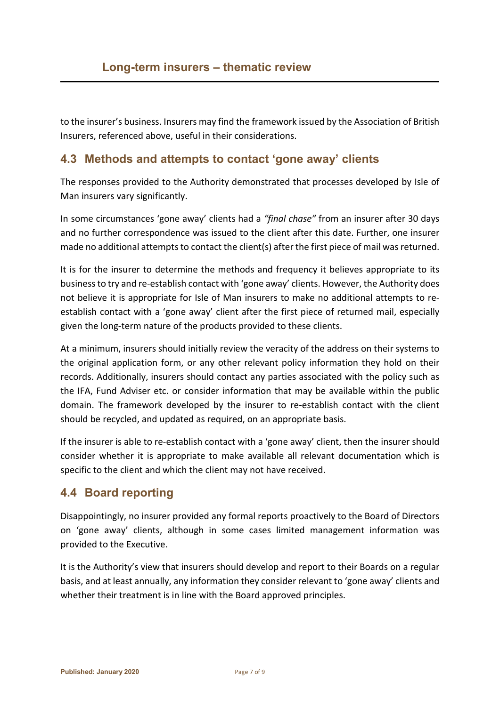to the insurer's business. Insurers may find the framework issued by the Association of British Insurers, referenced above, useful in their considerations.

## <span id="page-6-0"></span>**4.3 Methods and attempts to contact 'gone away' clients**

The responses provided to the Authority demonstrated that processes developed by Isle of Man insurers vary significantly.

In some circumstances 'gone away' clients had a *"final chase"* from an insurer after 30 days and no further correspondence was issued to the client after this date. Further, one insurer made no additional attempts to contact the client(s) after the first piece of mail was returned.

It is for the insurer to determine the methods and frequency it believes appropriate to its business to try and re-establish contact with 'gone away' clients. However, the Authority does not believe it is appropriate for Isle of Man insurers to make no additional attempts to reestablish contact with a 'gone away' client after the first piece of returned mail, especially given the long-term nature of the products provided to these clients.

At a minimum, insurers should initially review the veracity of the address on their systems to the original application form, or any other relevant policy information they hold on their records. Additionally, insurers should contact any parties associated with the policy such as the IFA, Fund Adviser etc. or consider information that may be available within the public domain. The framework developed by the insurer to re-establish contact with the client should be recycled, and updated as required, on an appropriate basis.

If the insurer is able to re-establish contact with a 'gone away' client, then the insurer should consider whether it is appropriate to make available all relevant documentation which is specific to the client and which the client may not have received.

# <span id="page-6-1"></span>**4.4 Board reporting**

Disappointingly, no insurer provided any formal reports proactively to the Board of Directors on 'gone away' clients, although in some cases limited management information was provided to the Executive.

It is the Authority's view that insurers should develop and report to their Boards on a regular basis, and at least annually, any information they consider relevant to 'gone away' clients and whether their treatment is in line with the Board approved principles.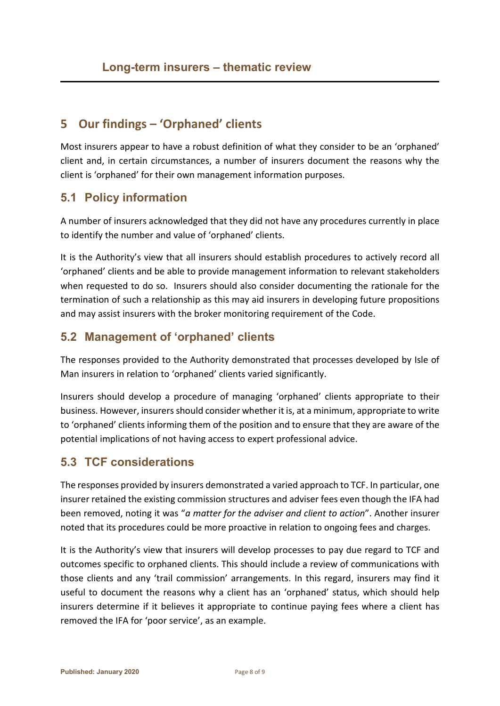# <span id="page-7-0"></span>**5 Our findings – 'Orphaned' clients**

Most insurers appear to have a robust definition of what they consider to be an 'orphaned' client and, in certain circumstances, a number of insurers document the reasons why the client is 'orphaned' for their own management information purposes.

## <span id="page-7-1"></span>**5.1 Policy information**

A number of insurers acknowledged that they did not have any procedures currently in place to identify the number and value of 'orphaned' clients.

It is the Authority's view that all insurers should establish procedures to actively record all 'orphaned' clients and be able to provide management information to relevant stakeholders when requested to do so. Insurers should also consider documenting the rationale for the termination of such a relationship as this may aid insurers in developing future propositions and may assist insurers with the broker monitoring requirement of the Code.

### <span id="page-7-2"></span>**5.2 Management of 'orphaned' clients**

The responses provided to the Authority demonstrated that processes developed by Isle of Man insurers in relation to 'orphaned' clients varied significantly.

Insurers should develop a procedure of managing 'orphaned' clients appropriate to their business. However, insurers should consider whether it is, at a minimum, appropriate to write to 'orphaned' clients informing them of the position and to ensure that they are aware of the potential implications of not having access to expert professional advice.

# <span id="page-7-3"></span>**5.3 TCF considerations**

The responses provided by insurers demonstrated a varied approach to TCF. In particular, one insurer retained the existing commission structures and adviser fees even though the IFA had been removed, noting it was "*a matter for the adviser and client to action*". Another insurer noted that its procedures could be more proactive in relation to ongoing fees and charges.

It is the Authority's view that insurers will develop processes to pay due regard to TCF and outcomes specific to orphaned clients. This should include a review of communications with those clients and any 'trail commission' arrangements. In this regard, insurers may find it useful to document the reasons why a client has an 'orphaned' status, which should help insurers determine if it believes it appropriate to continue paying fees where a client has removed the IFA for 'poor service', as an example.